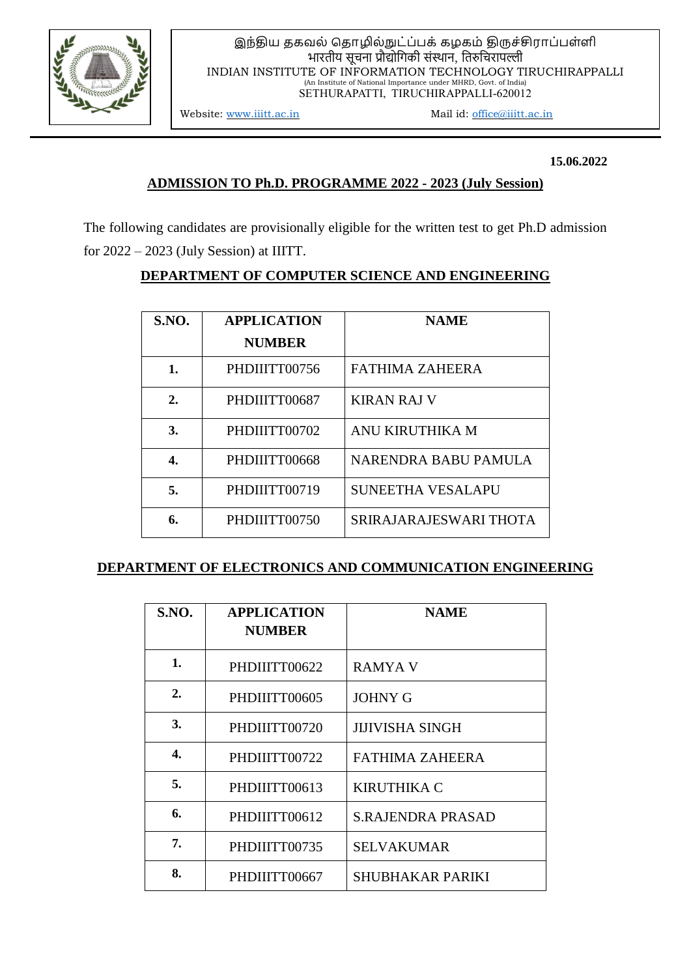

#### இந்திய தகவல் ததொழில்நுட்ப்பக் கழகம் திருச்சிரொப்பள்ளி भारतीय सूचना प्रौद्योगिकी संस्थान, गतरुगचरापल्ली INDIAN INSTITUTE OF INFORMATION TECHNOLOGY TIRUCHIRAPPALLI (An Institute of National Importance under MHRD, Govt. of India) SETHURAPATTI, TIRUCHIRAPPALLI-620012

Website: [www.iiitt.ac.in](http://www.iiitt.ac.in/) Mail id: [office@](mailto:%20iiitt.office@gmail.com)iiitt.ac.in

 **15.06.2022**

### **ADMISSION TO Ph.D. PROGRAMME 2022 - 2023 (July Session)**

The following candidates are provisionally eligible for the written test to get Ph.D admission for 2022 – 2023 (July Session) at IIITT.

### **DEPARTMENT OF COMPUTER SCIENCE AND ENGINEERING**

| <b>S.NO.</b> | <b>APPLICATION</b> | <b>NAME</b>              |
|--------------|--------------------|--------------------------|
|              | <b>NUMBER</b>      |                          |
| 1.           | PHDIIITT00756      | <b>FATHIMA ZAHEERA</b>   |
| 2.           | PHDIIITT00687      | <b>KIRAN RAJ V</b>       |
| 3.           | PHDIIITT00702      | ANU KIRUTHIKA M          |
| 4.           | PHDIIITT00668      | NARENDRA BABU PAMULA     |
| 5.           | PHDIIITT00719      | <b>SUNEETHA VESALAPU</b> |
| 6.           | PHDIIITT00750      | SRIRAJARAJESWARI THOTA   |

### **DEPARTMENT OF ELECTRONICS AND COMMUNICATION ENGINEERING**

| S.NO.            | <b>APPLICATION</b><br><b>NUMBER</b> | <b>NAME</b>              |
|------------------|-------------------------------------|--------------------------|
| 1.               | PHDIIITT00622                       | <b>RAMYA V</b>           |
| $\overline{2}$ . | PHDIIITT00605                       | <b>JOHNY G</b>           |
| 3.               | PHDIIITT00720                       | <b>JIJIVISHA SINGH</b>   |
| 4.               | PHDIIITT00722                       | FATHIMA ZAHEERA          |
| 5.               | PHDIIITT00613                       | <b>KIRUTHIKA C</b>       |
| 6.               | PHDIIITT00612                       | <b>S.RAJENDRA PRASAD</b> |
| 7.               | PHDIIITT00735                       | <b>SELVAKUMAR</b>        |
| 8.               | PHDIIITT00667                       | SHUBHAKAR PARIKI         |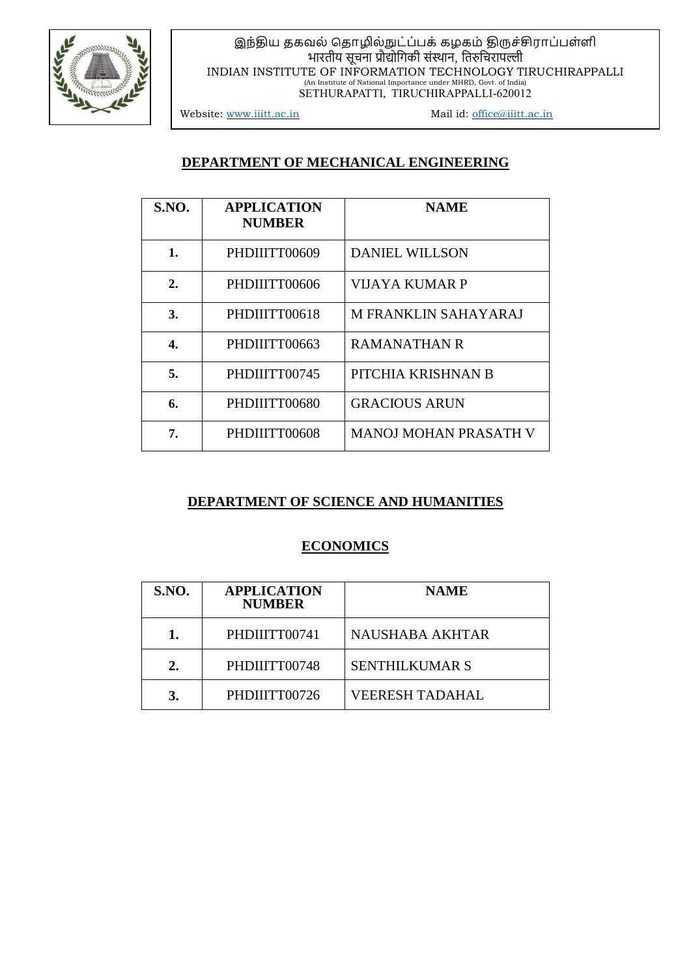

# இந்திய தகவல் ததொழில்நுட்ப்பக் கழகம் திருச்சிரொப்பள்ளி भारतीय सूचना प्रौद्योगिकी संस्थान, गतरुगचरापल्ली INDIAN INSTITUTE OF INFORMATION TECHNOLOGY TIRUCHIRAPPALLI (An Institute of National Importance under MHRD, Govt. of India) SETHURAPATTI, TIRUCHIRAPPALLI-620012

Website: [www.iiitt.ac.in](http://www.iiitt.ac.in/) Mail id: [office@](mailto:%20iiitt.office@gmail.com)iiitt.ac.in

### **DEPARTMENT OF MECHANICAL ENGINEERING**

| <b>S.NO.</b> | <b>APPLICATION</b><br><b>NUMBER</b> | <b>NAME</b>                  |
|--------------|-------------------------------------|------------------------------|
| 1.           | PHDIIITT00609                       | <b>DANIEL WILLSON</b>        |
| 2.           | PHDIIITT00606                       | VIJAYA KUMAR P               |
| 3.           | PHDIIITT00618                       | <b>M FRANKLIN SAHAYARAJ</b>  |
| 4.           | PHDIIITT00663                       | RAMANATHAN R                 |
| 5.           | PHDIIITT00745                       | PITCHIA KRISHNAN B           |
| 6.           | PHDIIITT00680                       | <b>GRACIOUS ARUN</b>         |
| 7.           | PHDIIITT00608                       | <b>MANOJ MOHAN PRASATH V</b> |

### **DEPARTMENT OF SCIENCE AND HUMANITIES**

### **ECONOMICS**

| <b>S.NO.</b> | <b>APPLICATION</b><br><b>NUMBER</b> | <b>NAME</b>            |
|--------------|-------------------------------------|------------------------|
| 1.           | PHDIIITT00741                       | <b>NAUSHABA AKHTAR</b> |
| 2.           | PHDIIITT00748                       | <b>SENTHILKUMAR S</b>  |
| 3.           | PHDIIITT00726                       | <b>VEERESH TADAHAL</b> |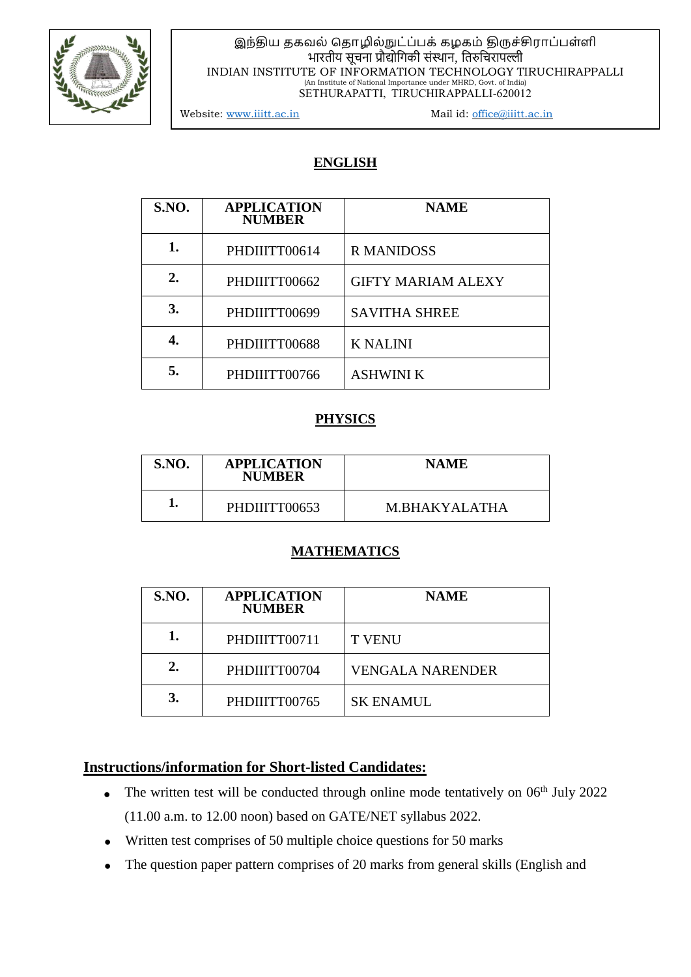

#### இந்திய தகவல் ததொழில்நுட்ப்பக் கழகம் திருச்சிரொப்பள்ளி भारतीय सूचना प्रौद्योगिकी संस्थान, गतरुगचरापल्ली INDIAN INSTITUTE OF INFORMATION TECHNOLOGY TIRUCHIRAPPALLI (An Institute of National Importance under MHRD, Govt. of India) SETHURAPATTI, TIRUCHIRAPPALLI-620012

Website: [www.iiitt.ac.in](http://www.iiitt.ac.in/) Mail id: [office@](mailto:%20iiitt.office@gmail.com)iiitt.ac.in

### **ENGLISH**

| <b>S.NO.</b> | <b>APPLICATION</b><br><b>NUMBER</b> | <b>NAME</b>               |
|--------------|-------------------------------------|---------------------------|
|              | PHDIIITT00614                       | <b>R MANIDOSS</b>         |
| 2.           | PHDIIITT00662                       | <b>GIFTY MARIAM ALEXY</b> |
| 3.           | PHDIIITT00699                       | <b>SAVITHA SHREE</b>      |
|              | PHDIIITT00688                       | <b>K NALINI</b>           |
| 5.           | PHDIIITT00766                       | <b>ASHWINI K</b>          |

### **PHYSICS**

| <b>S.NO.</b> | <b>APPLICATION</b><br><b>NUMBER</b> | <b>NAME</b>   |
|--------------|-------------------------------------|---------------|
|              | PHDIIITT00653                       | M BHAKYALATHA |

### **MATHEMATICS**

| <b>S.NO.</b> | <b>APPLICATION</b><br><b>NUMBER</b> | <b>NAME</b>             |
|--------------|-------------------------------------|-------------------------|
| 1.           | PHDIIITT00711                       | <b>T VENU</b>           |
| 2.           | PHDIIITT00704                       | <b>VENGALA NARENDER</b> |
| 3.           | PHDIIITT00765                       | <b>SK ENAMUL</b>        |

### **Instructions/information for Short-listed Candidates:**

- The written test will be conducted through online mode tentatively on  $06<sup>th</sup>$  July 2022 (11.00 a.m. to 12.00 noon) based on GATE/NET syllabus 2022.
- Written test comprises of 50 multiple choice questions for 50 marks
- The question paper pattern comprises of 20 marks from general skills (English and